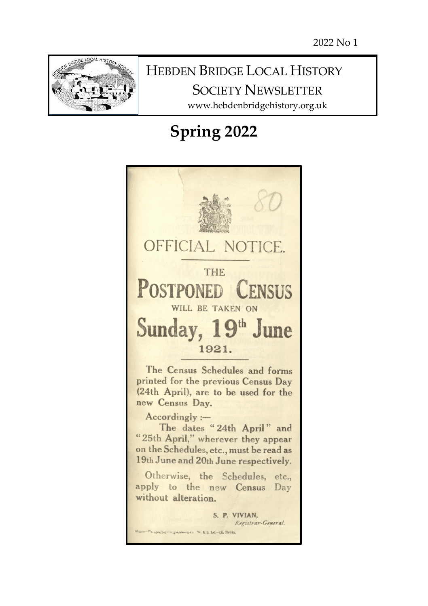

# HEBDEN BRIDGE LOCAL HISTORY SOCIETY NEWSLETTER

www.hebdenbridgehistory.org.uk

# **Spring 2022**

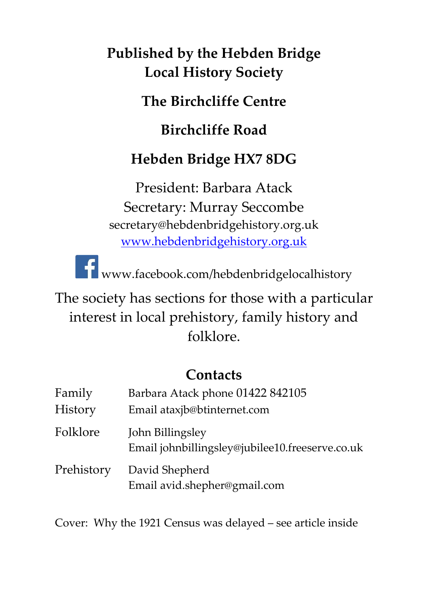# **Published by the Hebden Bridge Local History Society**

**The Birchcliffe Centre**

**Birchcliffe Road**

# **Hebden Bridge HX7 8DG**

President: Barbara Atack Secretary: Murray Seccombe secretary@hebdenbridgehistory.org.uk [www.hebdenbridgehistory.org.uk](http://www.hebdenbridgehistory.org.uk/)

**T**www.facebook.com/hebdenbridgelocalhistory

The society has sections for those with a particular interest in local prehistory, family history and folklore.

## **Contacts**

| Family     | Barbara Atack phone 01422 842105                                    |  |  |
|------------|---------------------------------------------------------------------|--|--|
| History    | Email ataxjb@btinternet.com                                         |  |  |
| Folklore   | John Billingsley<br>Email johnbillingsley@jubilee10.freeserve.co.uk |  |  |
| Prehistory | David Shepherd<br>Email avid.shepher@gmail.com                      |  |  |

Cover: Why the 1921 Census was delayed – see article inside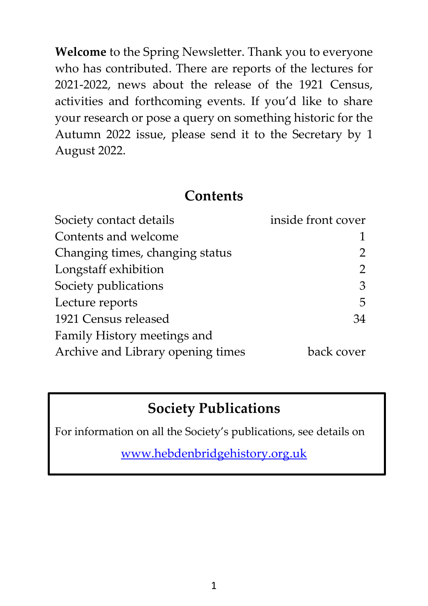**Welcome** to the Spring Newsletter. Thank you to everyone who has contributed. There are reports of the lectures for 2021-2022, news about the release of the 1921 Census, activities and forthcoming events. If you'd like to share your research or pose a query on something historic for the Autumn 2022 issue, please send it to the Secretary by 1 August 2022.

#### **Contents**

| Society contact details           | inside front cover        |  |
|-----------------------------------|---------------------------|--|
| Contents and welcome              |                           |  |
| Changing times, changing status   | 2                         |  |
| Longstaff exhibition              | $\mathbf{2}^{\mathsf{I}}$ |  |
| Society publications              | 3                         |  |
| Lecture reports                   | 5                         |  |
| 1921 Census released              | 34                        |  |
| Family History meetings and       |                           |  |
| Archive and Library opening times | back cover                |  |

# **Society Publications**

For information on all the Society's publications, see details on

[www.hebdenbridgehistory.org.uk](http://www.hebdenbridgehistory.org.uk/)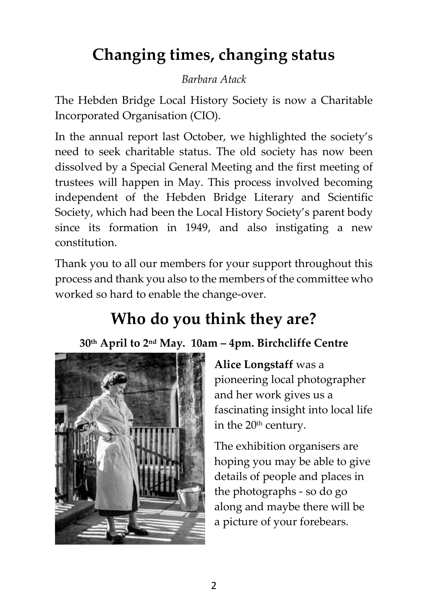# **Changing times, changing status**

#### *Barbara Atack*

The Hebden Bridge Local History Society is now a Charitable Incorporated Organisation (CIO).

In the annual report last October, we highlighted the society's need to seek charitable status. The old society has now been dissolved by a Special General Meeting and the first meeting of trustees will happen in May. This process involved becoming independent of the Hebden Bridge Literary and Scientific Society, which had been the Local History Society's parent body since its formation in 1949, and also instigating a new constitution.

Thank you to all our members for your support throughout this process and thank you also to the members of the committee who worked so hard to enable the change-over.

# **Who do you think they are?**

## **30th April to 2nd May. 10am – 4pm. Birchcliffe Centre**



**Alice Longstaff** was a pioneering local photographer and her work gives us a fascinating insight into local life in the 20<sup>th</sup> century.

The exhibition organisers are hoping you may be able to give details of people and places in the photographs - so do go along and maybe there will be a picture of your forebears.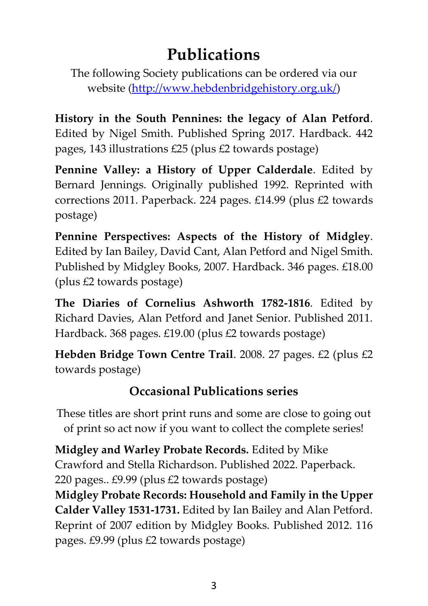# **Publications**

The following Society publications can be ordered via our website [\(http://www.hebdenbridgehistory.org.uk/\)](http://www.hebdenbridgehistory.org.uk/)

**History in the South Pennines: the legacy of Alan Petford**. Edited by Nigel Smith. Published Spring 2017. Hardback. 442 pages, 143 illustrations £25 (plus £2 towards postage)

**Pennine Valley: a History of Upper Calderdale**. Edited by Bernard Jennings. Originally published 1992. Reprinted with corrections 2011. Paperback. 224 pages. £14.99 (plus £2 towards postage)

**Pennine Perspectives: Aspects of the History of Midgley**. Edited by Ian Bailey, David Cant, Alan Petford and Nigel Smith. Published by Midgley Books, 2007. Hardback. 346 pages. £18.00 (plus £2 towards postage)

**The Diaries of Cornelius Ashworth 1782-1816**. Edited by Richard Davies, Alan Petford and Janet Senior. Published 2011. Hardback. 368 pages. £19.00 (plus £2 towards postage)

**Hebden Bridge Town Centre Trail**. 2008. 27 pages. £2 (plus £2 towards postage)

## **Occasional Publications series**

These titles are short print runs and some are close to going out of print so act now if you want to collect the complete series!

**Midgley and Warley Probate Records.** Edited by Mike Crawford and Stella Richardson. Published 2022. Paperback. 220 pages.. £9.99 (plus £2 towards postage)

**Midgley Probate Records: Household and Family in the Upper Calder Valley 1531-1731.** Edited by Ian Bailey and Alan Petford. Reprint of 2007 edition by Midgley Books. Published 2012. 116 pages. £9.99 (plus £2 towards postage)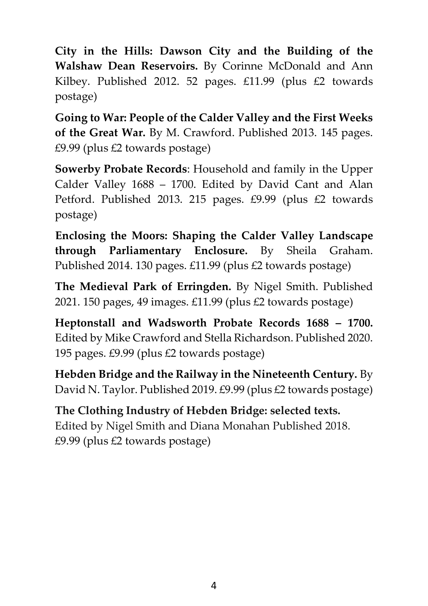**City in the Hills: Dawson City and the Building of the Walshaw Dean Reservoirs.** By Corinne McDonald and Ann Kilbey. Published 2012. 52 pages. £11.99 (plus £2 towards postage)

**Going to War: People of the Calder Valley and the First Weeks of the Great War.** By M. Crawford. Published 2013. 145 pages. £9.99 (plus £2 towards postage)

**Sowerby Probate Records**: Household and family in the Upper Calder Valley 1688 – 1700. Edited by David Cant and Alan Petford. Published 2013. 215 pages. £9.99 (plus £2 towards postage)

**Enclosing the Moors: Shaping the Calder Valley Landscape through Parliamentary Enclosure.** By Sheila Graham. Published 2014. 130 pages. £11.99 (plus £2 towards postage)

**The Medieval Park of Erringden.** By Nigel Smith. Published 2021. 150 pages, 49 images. £11.99 (plus £2 towards postage)

**Heptonstall and Wadsworth Probate Records 1688 – 1700.**  Edited by Mike Crawford and Stella Richardson. Published 2020. 195 pages. £9.99 (plus £2 towards postage)

**Hebden Bridge and the Railway in the Nineteenth Century.** By David N. Taylor. Published 2019. £9.99 (plus £2 towards postage)

**The Clothing Industry of Hebden Bridge: selected texts.** Edited by Nigel Smith and Diana Monahan Published 2018. £9.99 (plus £2 towards postage)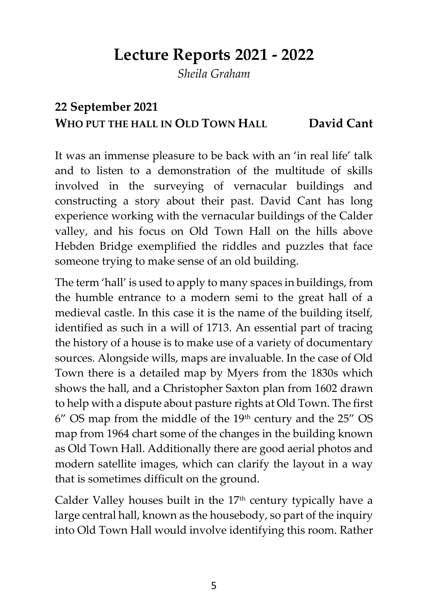# **Lecture Reports 2021 - 2022**

*Sheila Graham*

## **22 September 2021 WHO PUT THE HALL IN OLD TOWN HALL David Cant**

It was an immense pleasure to be back with an 'in real life' talk and to listen to a demonstration of the multitude of skills involved in the surveying of vernacular buildings and constructing a story about their past. David Cant has long experience working with the vernacular buildings of the Calder valley, and his focus on Old Town Hall on the hills above Hebden Bridge exemplified the riddles and puzzles that face someone trying to make sense of an old building.

The term 'hall' is used to apply to many spaces in buildings, from the humble entrance to a modern semi to the great hall of a medieval castle. In this case it is the name of the building itself, identified as such in a will of 1713. An essential part of tracing the history of a house is to make use of a variety of documentary sources. Alongside wills, maps are invaluable. In the case of Old Town there is a detailed map by Myers from the 1830s which shows the hall, and a Christopher Saxton plan from 1602 drawn to help with a dispute about pasture rights at Old Town. The first  $6''$  OS map from the middle of the 19<sup>th</sup> century and the  $25''$  OS map from 1964 chart some of the changes in the building known as Old Town Hall. Additionally there are good aerial photos and modern satellite images, which can clarify the layout in a way that is sometimes difficult on the ground.

Calder Valley houses built in the  $17<sup>th</sup>$  century typically have a large central hall, known as the housebody, so part of the inquiry into Old Town Hall would involve identifying this room. Rather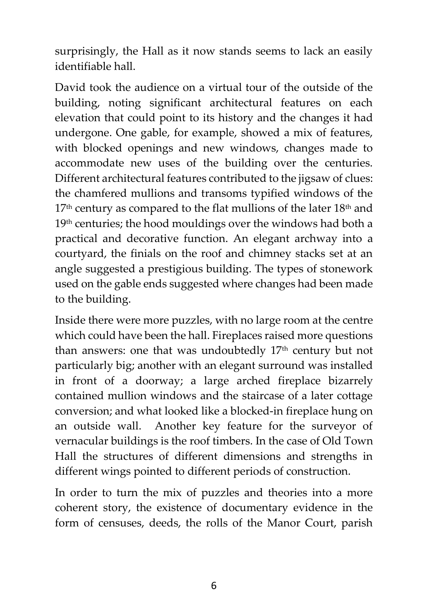surprisingly, the Hall as it now stands seems to lack an easily identifiable hall.

David took the audience on a virtual tour of the outside of the building, noting significant architectural features on each elevation that could point to its history and the changes it had undergone. One gable, for example, showed a mix of features, with blocked openings and new windows, changes made to accommodate new uses of the building over the centuries. Different architectural features contributed to the jigsaw of clues: the chamfered mullions and transoms typified windows of the  $17<sup>th</sup>$  century as compared to the flat mullions of the later  $18<sup>th</sup>$  and 19<sup>th</sup> centuries; the hood mouldings over the windows had both a practical and decorative function. An elegant archway into a courtyard, the finials on the roof and chimney stacks set at an angle suggested a prestigious building. The types of stonework used on the gable ends suggested where changes had been made to the building.

Inside there were more puzzles, with no large room at the centre which could have been the hall. Fireplaces raised more questions than answers: one that was undoubtedly 17<sup>th</sup> century but not particularly big; another with an elegant surround was installed in front of a doorway; a large arched fireplace bizarrely contained mullion windows and the staircase of a later cottage conversion; and what looked like a blocked-in fireplace hung on an outside wall. Another key feature for the surveyor of vernacular buildings is the roof timbers. In the case of Old Town Hall the structures of different dimensions and strengths in different wings pointed to different periods of construction.

In order to turn the mix of puzzles and theories into a more coherent story, the existence of documentary evidence in the form of censuses, deeds, the rolls of the Manor Court, parish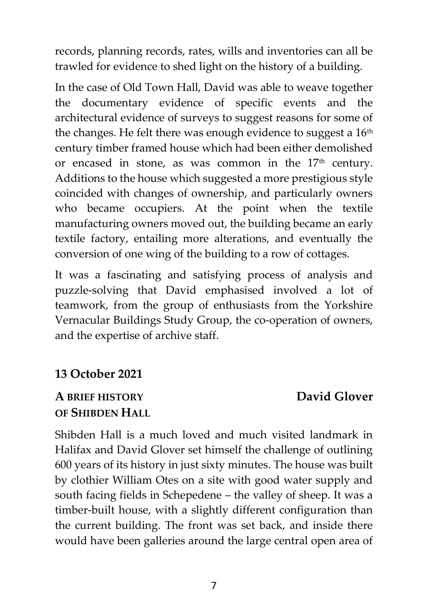records, planning records, rates, wills and inventories can all be trawled for evidence to shed light on the history of a building.

In the case of Old Town Hall, David was able to weave together the documentary evidence of specific events and the architectural evidence of surveys to suggest reasons for some of the changes. He felt there was enough evidence to suggest a  $16<sup>th</sup>$ century timber framed house which had been either demolished or encased in stone, as was common in the  $17<sup>th</sup>$  century. Additions to the house which suggested a more prestigious style coincided with changes of ownership, and particularly owners who became occupiers. At the point when the textile manufacturing owners moved out, the building became an early textile factory, entailing more alterations, and eventually the conversion of one wing of the building to a row of cottages.

It was a fascinating and satisfying process of analysis and puzzle-solving that David emphasised involved a lot of teamwork, from the group of enthusiasts from the Yorkshire Vernacular Buildings Study Group, the co-operation of owners, and the expertise of archive staff.

#### **13 October 2021**

#### **A BRIEF HISTORY David Glover OF SHIBDEN HALL**

Shibden Hall is a much loved and much visited landmark in Halifax and David Glover set himself the challenge of outlining 600 years of its history in just sixty minutes. The house was built by clothier William Otes on a site with good water supply and south facing fields in Schepedene – the valley of sheep. It was a timber-built house, with a slightly different configuration than the current building. The front was set back, and inside there would have been galleries around the large central open area of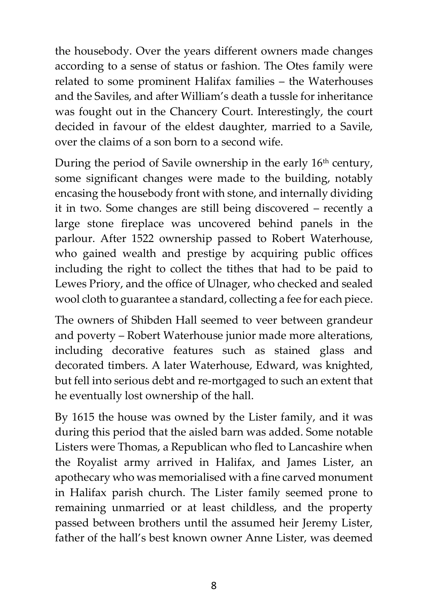the housebody. Over the years different owners made changes according to a sense of status or fashion. The Otes family were related to some prominent Halifax families – the Waterhouses and the Saviles, and after William's death a tussle for inheritance was fought out in the Chancery Court. Interestingly, the court decided in favour of the eldest daughter, married to a Savile, over the claims of a son born to a second wife.

During the period of Savile ownership in the early 16<sup>th</sup> century, some significant changes were made to the building, notably encasing the housebody front with stone, and internally dividing it in two. Some changes are still being discovered – recently a large stone fireplace was uncovered behind panels in the parlour. After 1522 ownership passed to Robert Waterhouse, who gained wealth and prestige by acquiring public offices including the right to collect the tithes that had to be paid to Lewes Priory, and the office of Ulnager, who checked and sealed wool cloth to guarantee a standard, collecting a fee for each piece.

The owners of Shibden Hall seemed to veer between grandeur and poverty – Robert Waterhouse junior made more alterations, including decorative features such as stained glass and decorated timbers. A later Waterhouse, Edward, was knighted, but fell into serious debt and re-mortgaged to such an extent that he eventually lost ownership of the hall.

By 1615 the house was owned by the Lister family, and it was during this period that the aisled barn was added. Some notable Listers were Thomas, a Republican who fled to Lancashire when the Royalist army arrived in Halifax, and James Lister, an apothecary who was memorialised with a fine carved monument in Halifax parish church. The Lister family seemed prone to remaining unmarried or at least childless, and the property passed between brothers until the assumed heir Jeremy Lister, father of the hall's best known owner Anne Lister, was deemed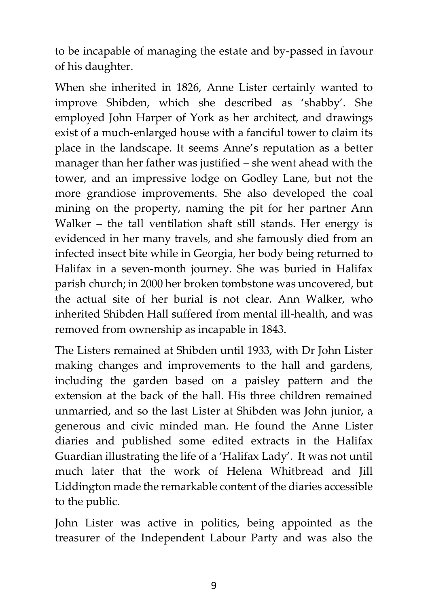to be incapable of managing the estate and by-passed in favour of his daughter.

When she inherited in 1826, Anne Lister certainly wanted to improve Shibden, which she described as 'shabby'. She employed John Harper of York as her architect, and drawings exist of a much-enlarged house with a fanciful tower to claim its place in the landscape. It seems Anne's reputation as a better manager than her father was justified – she went ahead with the tower, and an impressive lodge on Godley Lane, but not the more grandiose improvements. She also developed the coal mining on the property, naming the pit for her partner Ann Walker – the tall ventilation shaft still stands. Her energy is evidenced in her many travels, and she famously died from an infected insect bite while in Georgia, her body being returned to Halifax in a seven-month journey. She was buried in Halifax parish church; in 2000 her broken tombstone was uncovered, but the actual site of her burial is not clear. Ann Walker, who inherited Shibden Hall suffered from mental ill-health, and was removed from ownership as incapable in 1843.

The Listers remained at Shibden until 1933, with Dr John Lister making changes and improvements to the hall and gardens, including the garden based on a paisley pattern and the extension at the back of the hall. His three children remained unmarried, and so the last Lister at Shibden was John junior, a generous and civic minded man. He found the Anne Lister diaries and published some edited extracts in the Halifax Guardian illustrating the life of a 'Halifax Lady'. It was not until much later that the work of Helena Whitbread and Jill Liddington made the remarkable content of the diaries accessible to the public.

John Lister was active in politics, being appointed as the treasurer of the Independent Labour Party and was also the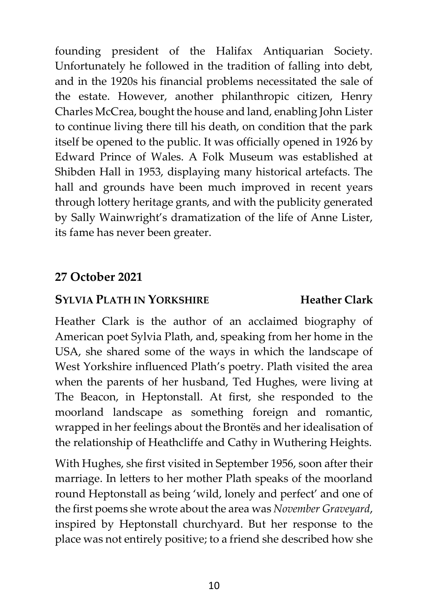founding president of the Halifax Antiquarian Society. Unfortunately he followed in the tradition of falling into debt, and in the 1920s his financial problems necessitated the sale of the estate. However, another philanthropic citizen, Henry Charles McCrea, bought the house and land, enabling John Lister to continue living there till his death, on condition that the park itself be opened to the public. It was officially opened in 1926 by Edward Prince of Wales. A Folk Museum was established at Shibden Hall in 1953, displaying many historical artefacts. The hall and grounds have been much improved in recent years through lottery heritage grants, and with the publicity generated by Sally Wainwright's dramatization of the life of Anne Lister, its fame has never been greater.

#### **27 October 2021**

#### **SYLVIA PLATH IN YORKSHIRE Heather Clark**

Heather Clark is the author of an acclaimed biography of American poet Sylvia Plath, and, speaking from her home in the USA, she shared some of the ways in which the landscape of West Yorkshire influenced Plath's poetry. Plath visited the area when the parents of her husband, Ted Hughes, were living at The Beacon, in Heptonstall. At first, she responded to the moorland landscape as something foreign and romantic, wrapped in her feelings about the Brontës and her idealisation of the relationship of Heathcliffe and Cathy in Wuthering Heights.

With Hughes, she first visited in September 1956, soon after their marriage. In letters to her mother Plath speaks of the moorland round Heptonstall as being 'wild, lonely and perfect' and one of the first poems she wrote about the area was *November Graveyard*, inspired by Heptonstall churchyard. But her response to the place was not entirely positive; to a friend she described how she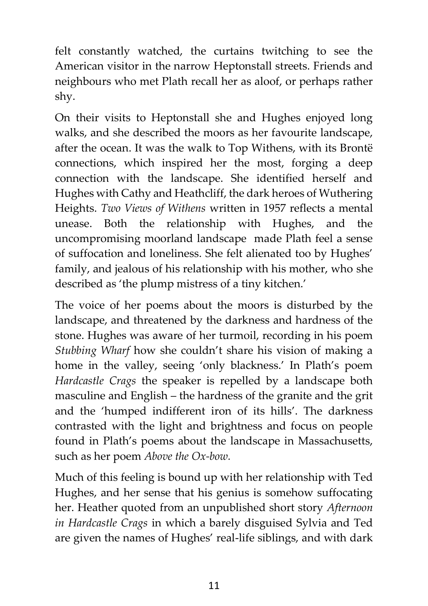felt constantly watched, the curtains twitching to see the American visitor in the narrow Heptonstall streets. Friends and neighbours who met Plath recall her as aloof, or perhaps rather shy.

On their visits to Heptonstall she and Hughes enjoyed long walks, and she described the moors as her favourite landscape, after the ocean. It was the walk to Top Withens, with its Brontë connections, which inspired her the most, forging a deep connection with the landscape. She identified herself and Hughes with Cathy and Heathcliff, the dark heroes of Wuthering Heights. *Two Views of Withens* written in 1957 reflects a mental unease. Both the relationship with Hughes, and the uncompromising moorland landscape made Plath feel a sense of suffocation and loneliness. She felt alienated too by Hughes' family, and jealous of his relationship with his mother, who she described as 'the plump mistress of a tiny kitchen.'

The voice of her poems about the moors is disturbed by the landscape, and threatened by the darkness and hardness of the stone. Hughes was aware of her turmoil, recording in his poem *Stubbing Wharf* how she couldn't share his vision of making a home in the valley, seeing 'only blackness.' In Plath's poem *Hardcastle Crags* the speaker is repelled by a landscape both masculine and English – the hardness of the granite and the grit and the 'humped indifferent iron of its hills'. The darkness contrasted with the light and brightness and focus on people found in Plath's poems about the landscape in Massachusetts, such as her poem *Above the Ox-bow.*

Much of this feeling is bound up with her relationship with Ted Hughes, and her sense that his genius is somehow suffocating her. Heather quoted from an unpublished short story *Afternoon in Hardcastle Crags* in which a barely disguised Sylvia and Ted are given the names of Hughes' real-life siblings, and with dark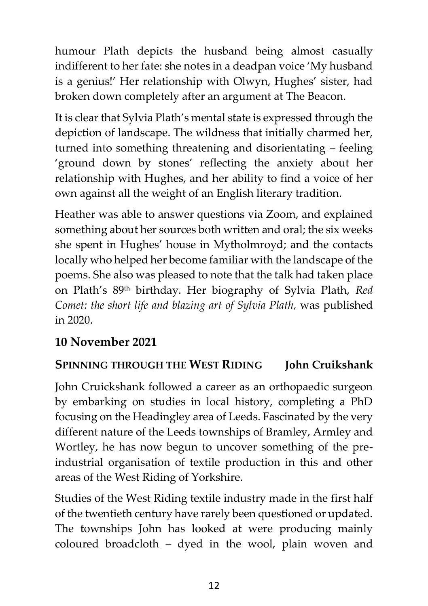humour Plath depicts the husband being almost casually indifferent to her fate: she notes in a deadpan voice 'My husband is a genius!' Her relationship with Olwyn, Hughes' sister, had broken down completely after an argument at The Beacon.

It is clear that Sylvia Plath's mental state is expressed through the depiction of landscape. The wildness that initially charmed her, turned into something threatening and disorientating – feeling 'ground down by stones' reflecting the anxiety about her relationship with Hughes, and her ability to find a voice of her own against all the weight of an English literary tradition.

Heather was able to answer questions via Zoom, and explained something about her sources both written and oral; the six weeks she spent in Hughes' house in Mytholmroyd; and the contacts locally who helped her become familiar with the landscape of the poems. She also was pleased to note that the talk had taken place on Plath's 89th birthday. Her biography of Sylvia Plath, *Red Comet: the short life and blazing art of Sylvia Plath,* was published in 2020.

### **10 November 2021**

### **SPINNING THROUGH THE WEST RIDING John Cruikshank**

John Cruickshank followed a career as an orthopaedic surgeon by embarking on studies in local history, completing a PhD focusing on the Headingley area of Leeds. Fascinated by the very different nature of the Leeds townships of Bramley, Armley and Wortley, he has now begun to uncover something of the preindustrial organisation of textile production in this and other areas of the West Riding of Yorkshire.

Studies of the West Riding textile industry made in the first half of the twentieth century have rarely been questioned or updated. The townships John has looked at were producing mainly coloured broadcloth – dyed in the wool, plain woven and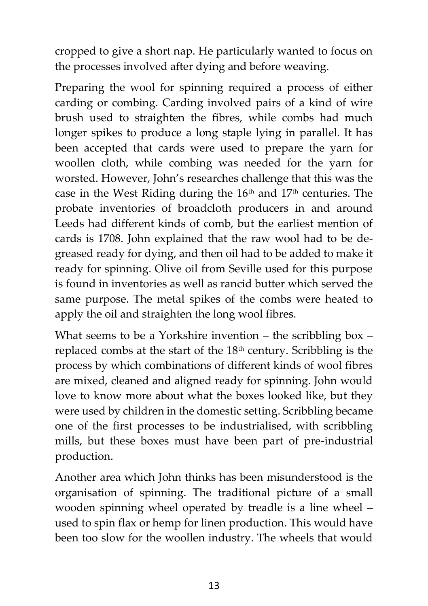cropped to give a short nap. He particularly wanted to focus on the processes involved after dying and before weaving.

Preparing the wool for spinning required a process of either carding or combing. Carding involved pairs of a kind of wire brush used to straighten the fibres, while combs had much longer spikes to produce a long staple lying in parallel. It has been accepted that cards were used to prepare the yarn for woollen cloth, while combing was needed for the yarn for worsted. However, John's researches challenge that this was the case in the West Riding during the 16th and 17th centuries. The probate inventories of broadcloth producers in and around Leeds had different kinds of comb, but the earliest mention of cards is 1708. John explained that the raw wool had to be degreased ready for dying, and then oil had to be added to make it ready for spinning. Olive oil from Seville used for this purpose is found in inventories as well as rancid butter which served the same purpose. The metal spikes of the combs were heated to apply the oil and straighten the long wool fibres.

What seems to be a Yorkshire invention – the scribbling box – replaced combs at the start of the 18<sup>th</sup> century. Scribbling is the process by which combinations of different kinds of wool fibres are mixed, cleaned and aligned ready for spinning. John would love to know more about what the boxes looked like, but they were used by children in the domestic setting. Scribbling became one of the first processes to be industrialised, with scribbling mills, but these boxes must have been part of pre-industrial production.

Another area which John thinks has been misunderstood is the organisation of spinning. The traditional picture of a small wooden spinning wheel operated by treadle is a line wheel – used to spin flax or hemp for linen production. This would have been too slow for the woollen industry. The wheels that would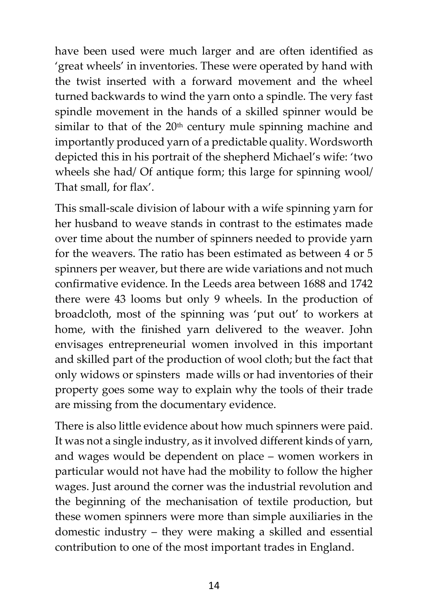have been used were much larger and are often identified as 'great wheels' in inventories. These were operated by hand with the twist inserted with a forward movement and the wheel turned backwards to wind the yarn onto a spindle. The very fast spindle movement in the hands of a skilled spinner would be similar to that of the  $20<sup>th</sup>$  century mule spinning machine and importantly produced yarn of a predictable quality. Wordsworth depicted this in his portrait of the shepherd Michael's wife: 'two wheels she had/ Of antique form; this large for spinning wool/ That small, for flax'.

This small-scale division of labour with a wife spinning yarn for her husband to weave stands in contrast to the estimates made over time about the number of spinners needed to provide yarn for the weavers. The ratio has been estimated as between 4 or 5 spinners per weaver, but there are wide variations and not much confirmative evidence. In the Leeds area between 1688 and 1742 there were 43 looms but only 9 wheels. In the production of broadcloth, most of the spinning was 'put out' to workers at home, with the finished yarn delivered to the weaver. John envisages entrepreneurial women involved in this important and skilled part of the production of wool cloth; but the fact that only widows or spinsters made wills or had inventories of their property goes some way to explain why the tools of their trade are missing from the documentary evidence.

There is also little evidence about how much spinners were paid. It was not a single industry, as it involved different kinds of yarn, and wages would be dependent on place – women workers in particular would not have had the mobility to follow the higher wages. Just around the corner was the industrial revolution and the beginning of the mechanisation of textile production, but these women spinners were more than simple auxiliaries in the domestic industry – they were making a skilled and essential contribution to one of the most important trades in England.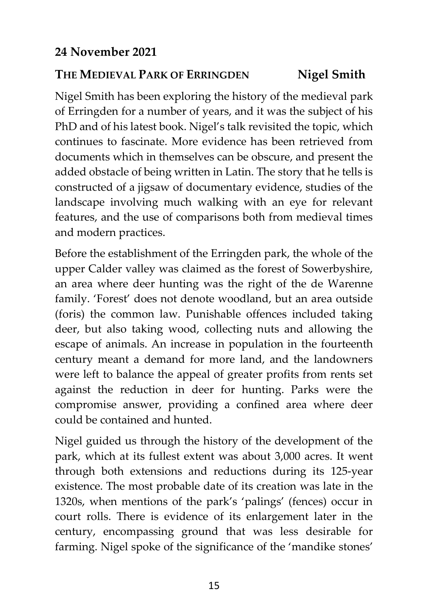### **THE MEDIEVAL PARK OF ERRINGDEN Nigel Smith**

Nigel Smith has been exploring the history of the medieval park of Erringden for a number of years, and it was the subject of his PhD and of his latest book. Nigel's talk revisited the topic, which continues to fascinate. More evidence has been retrieved from documents which in themselves can be obscure, and present the added obstacle of being written in Latin. The story that he tells is constructed of a jigsaw of documentary evidence, studies of the landscape involving much walking with an eye for relevant features, and the use of comparisons both from medieval times and modern practices.

Before the establishment of the Erringden park, the whole of the upper Calder valley was claimed as the forest of Sowerbyshire, an area where deer hunting was the right of the de Warenne family. 'Forest' does not denote woodland, but an area outside (foris) the common law. Punishable offences included taking deer, but also taking wood, collecting nuts and allowing the escape of animals. An increase in population in the fourteenth century meant a demand for more land, and the landowners were left to balance the appeal of greater profits from rents set against the reduction in deer for hunting. Parks were the compromise answer, providing a confined area where deer could be contained and hunted.

Nigel guided us through the history of the development of the park, which at its fullest extent was about 3,000 acres. It went through both extensions and reductions during its 125-year existence. The most probable date of its creation was late in the 1320s, when mentions of the park's 'palings' (fences) occur in court rolls. There is evidence of its enlargement later in the century, encompassing ground that was less desirable for farming. Nigel spoke of the significance of the 'mandike stones'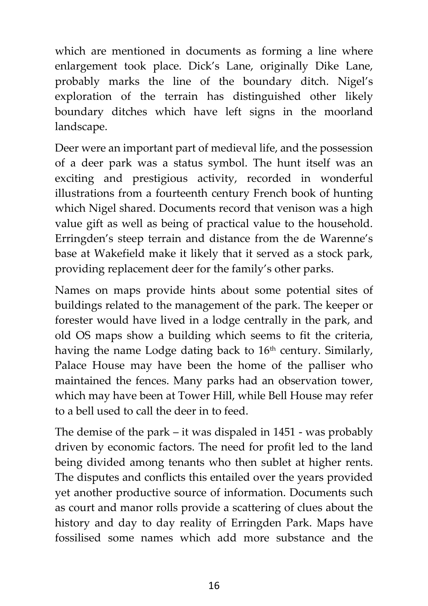which are mentioned in documents as forming a line where enlargement took place. Dick's Lane, originally Dike Lane, probably marks the line of the boundary ditch. Nigel's exploration of the terrain has distinguished other likely boundary ditches which have left signs in the moorland landscape.

Deer were an important part of medieval life, and the possession of a deer park was a status symbol. The hunt itself was an exciting and prestigious activity, recorded in wonderful illustrations from a fourteenth century French book of hunting which Nigel shared. Documents record that venison was a high value gift as well as being of practical value to the household. Erringden's steep terrain and distance from the de Warenne's base at Wakefield make it likely that it served as a stock park, providing replacement deer for the family's other parks.

Names on maps provide hints about some potential sites of buildings related to the management of the park. The keeper or forester would have lived in a lodge centrally in the park, and old OS maps show a building which seems to fit the criteria, having the name Lodge dating back to  $16<sup>th</sup>$  century. Similarly, Palace House may have been the home of the palliser who maintained the fences. Many parks had an observation tower, which may have been at Tower Hill, while Bell House may refer to a bell used to call the deer in to feed.

The demise of the park – it was dispaled in 1451 - was probably driven by economic factors. The need for profit led to the land being divided among tenants who then sublet at higher rents. The disputes and conflicts this entailed over the years provided yet another productive source of information. Documents such as court and manor rolls provide a scattering of clues about the history and day to day reality of Erringden Park. Maps have fossilised some names which add more substance and the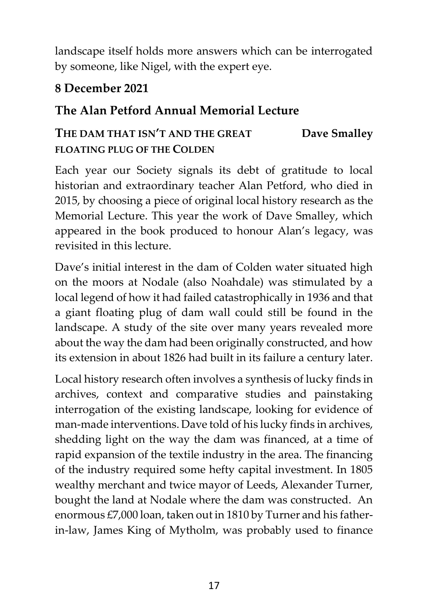landscape itself holds more answers which can be interrogated by someone, like Nigel, with the expert eye.

### **8 December 2021**

### **The Alan Petford Annual Memorial Lecture**

### **THE DAM THAT ISN'T AND THE GREAT Dave Smalley FLOATING PLUG OF THE COLDEN**

Each year our Society signals its debt of gratitude to local historian and extraordinary teacher Alan Petford, who died in 2015, by choosing a piece of original local history research as the Memorial Lecture. This year the work of Dave Smalley, which appeared in the book produced to honour Alan's legacy, was revisited in this lecture.

Dave's initial interest in the dam of Colden water situated high on the moors at Nodale (also Noahdale) was stimulated by a local legend of how it had failed catastrophically in 1936 and that a giant floating plug of dam wall could still be found in the landscape. A study of the site over many years revealed more about the way the dam had been originally constructed, and how its extension in about 1826 had built in its failure a century later.

Local history research often involves a synthesis of lucky finds in archives, context and comparative studies and painstaking interrogation of the existing landscape, looking for evidence of man-made interventions. Dave told of his lucky finds in archives, shedding light on the way the dam was financed, at a time of rapid expansion of the textile industry in the area. The financing of the industry required some hefty capital investment. In 1805 wealthy merchant and twice mayor of Leeds, Alexander Turner, bought the land at Nodale where the dam was constructed. An enormous £7,000 loan, taken out in 1810 by Turner and his fatherin-law, James King of Mytholm, was probably used to finance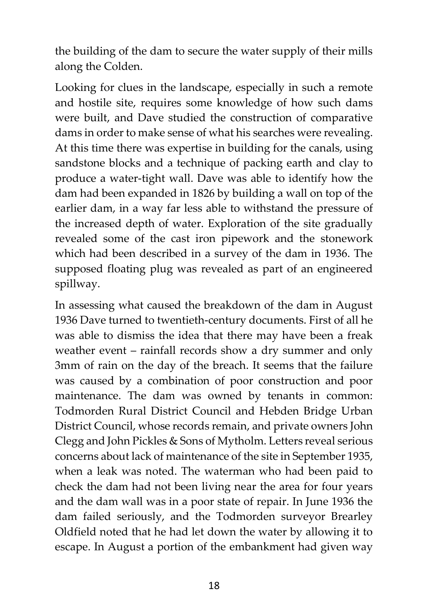the building of the dam to secure the water supply of their mills along the Colden.

Looking for clues in the landscape, especially in such a remote and hostile site, requires some knowledge of how such dams were built, and Dave studied the construction of comparative dams in order to make sense of what his searches were revealing. At this time there was expertise in building for the canals, using sandstone blocks and a technique of packing earth and clay to produce a water-tight wall. Dave was able to identify how the dam had been expanded in 1826 by building a wall on top of the earlier dam, in a way far less able to withstand the pressure of the increased depth of water. Exploration of the site gradually revealed some of the cast iron pipework and the stonework which had been described in a survey of the dam in 1936. The supposed floating plug was revealed as part of an engineered spillway.

In assessing what caused the breakdown of the dam in August 1936 Dave turned to twentieth-century documents. First of all he was able to dismiss the idea that there may have been a freak weather event – rainfall records show a dry summer and only 3mm of rain on the day of the breach. It seems that the failure was caused by a combination of poor construction and poor maintenance. The dam was owned by tenants in common: Todmorden Rural District Council and Hebden Bridge Urban District Council, whose records remain, and private owners John Clegg and John Pickles & Sons of Mytholm. Letters reveal serious concerns about lack of maintenance of the site in September 1935, when a leak was noted. The waterman who had been paid to check the dam had not been living near the area for four years and the dam wall was in a poor state of repair. In June 1936 the dam failed seriously, and the Todmorden surveyor Brearley Oldfield noted that he had let down the water by allowing it to escape. In August a portion of the embankment had given way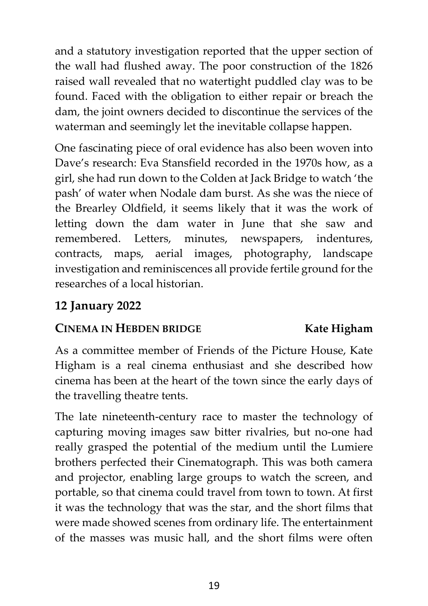and a statutory investigation reported that the upper section of the wall had flushed away. The poor construction of the 1826 raised wall revealed that no watertight puddled clay was to be found. Faced with the obligation to either repair or breach the dam, the joint owners decided to discontinue the services of the waterman and seemingly let the inevitable collapse happen.

One fascinating piece of oral evidence has also been woven into Dave's research: Eva Stansfield recorded in the 1970s how, as a girl, she had run down to the Colden at Jack Bridge to watch 'the pash' of water when Nodale dam burst. As she was the niece of the Brearley Oldfield, it seems likely that it was the work of letting down the dam water in June that she saw and remembered. Letters, minutes, newspapers, indentures, contracts, maps, aerial images, photography, landscape investigation and reminiscences all provide fertile ground for the researches of a local historian.

#### **12 January 2022**

#### **CINEMA IN HEBDEN BRIDGE Kate Higham**

As a committee member of Friends of the Picture House, Kate Higham is a real cinema enthusiast and she described how cinema has been at the heart of the town since the early days of the travelling theatre tents.

The late nineteenth-century race to master the technology of capturing moving images saw bitter rivalries, but no-one had really grasped the potential of the medium until the Lumiere brothers perfected their Cinematograph. This was both camera and projector, enabling large groups to watch the screen, and portable, so that cinema could travel from town to town. At first it was the technology that was the star, and the short films that were made showed scenes from ordinary life. The entertainment of the masses was music hall, and the short films were often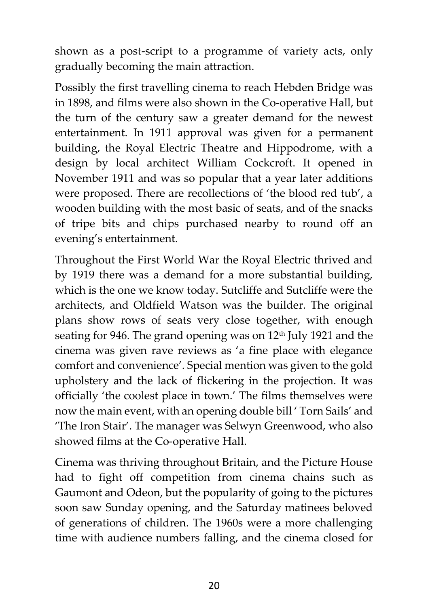shown as a post-script to a programme of variety acts, only gradually becoming the main attraction.

Possibly the first travelling cinema to reach Hebden Bridge was in 1898, and films were also shown in the Co-operative Hall, but the turn of the century saw a greater demand for the newest entertainment. In 1911 approval was given for a permanent building, the Royal Electric Theatre and Hippodrome, with a design by local architect William Cockcroft. It opened in November 1911 and was so popular that a year later additions were proposed. There are recollections of 'the blood red tub', a wooden building with the most basic of seats, and of the snacks of tripe bits and chips purchased nearby to round off an evening's entertainment.

Throughout the First World War the Royal Electric thrived and by 1919 there was a demand for a more substantial building, which is the one we know today. Sutcliffe and Sutcliffe were the architects, and Oldfield Watson was the builder. The original plans show rows of seats very close together, with enough seating for 946. The grand opening was on 12<sup>th</sup> July 1921 and the cinema was given rave reviews as 'a fine place with elegance comfort and convenience'. Special mention was given to the gold upholstery and the lack of flickering in the projection. It was officially 'the coolest place in town.' The films themselves were now the main event, with an opening double bill ' Torn Sails' and 'The Iron Stair'. The manager was Selwyn Greenwood, who also showed films at the Co-operative Hall.

Cinema was thriving throughout Britain, and the Picture House had to fight off competition from cinema chains such as Gaumont and Odeon, but the popularity of going to the pictures soon saw Sunday opening, and the Saturday matinees beloved of generations of children. The 1960s were a more challenging time with audience numbers falling, and the cinema closed for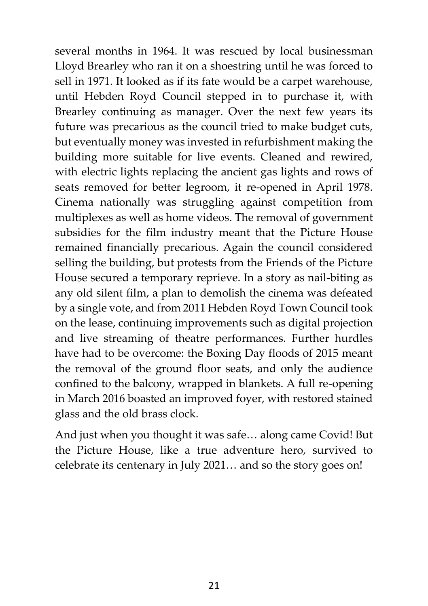several months in 1964. It was rescued by local businessman Lloyd Brearley who ran it on a shoestring until he was forced to sell in 1971. It looked as if its fate would be a carpet warehouse, until Hebden Royd Council stepped in to purchase it, with Brearley continuing as manager. Over the next few years its future was precarious as the council tried to make budget cuts, but eventually money was invested in refurbishment making the building more suitable for live events. Cleaned and rewired, with electric lights replacing the ancient gas lights and rows of seats removed for better legroom, it re-opened in April 1978. Cinema nationally was struggling against competition from multiplexes as well as home videos. The removal of government subsidies for the film industry meant that the Picture House remained financially precarious. Again the council considered selling the building, but protests from the Friends of the Picture House secured a temporary reprieve. In a story as nail-biting as any old silent film, a plan to demolish the cinema was defeated by a single vote, and from 2011 Hebden Royd Town Council took on the lease, continuing improvements such as digital projection and live streaming of theatre performances. Further hurdles have had to be overcome: the Boxing Day floods of 2015 meant the removal of the ground floor seats, and only the audience confined to the balcony, wrapped in blankets. A full re-opening in March 2016 boasted an improved foyer, with restored stained glass and the old brass clock.

And just when you thought it was safe… along came Covid! But the Picture House, like a true adventure hero, survived to celebrate its centenary in July 2021… and so the story goes on!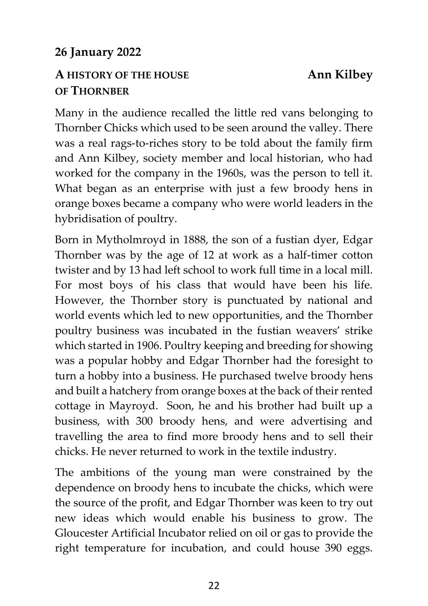#### **26 January 2022**

#### **A HISTORY OF THE HOUSE Ann Kilbey OF THORNBER**

Many in the audience recalled the little red vans belonging to Thornber Chicks which used to be seen around the valley. There was a real rags-to-riches story to be told about the family firm and Ann Kilbey, society member and local historian, who had worked for the company in the 1960s, was the person to tell it. What began as an enterprise with just a few broody hens in orange boxes became a company who were world leaders in the hybridisation of poultry.

Born in Mytholmroyd in 1888, the son of a fustian dyer, Edgar Thornber was by the age of 12 at work as a half-timer cotton twister and by 13 had left school to work full time in a local mill. For most boys of his class that would have been his life. However, the Thornber story is punctuated by national and world events which led to new opportunities, and the Thornber poultry business was incubated in the fustian weavers' strike which started in 1906. Poultry keeping and breeding for showing was a popular hobby and Edgar Thornber had the foresight to turn a hobby into a business. He purchased twelve broody hens and built a hatchery from orange boxes at the back of their rented cottage in Mayroyd. Soon, he and his brother had built up a business, with 300 broody hens, and were advertising and travelling the area to find more broody hens and to sell their chicks. He never returned to work in the textile industry.

The ambitions of the young man were constrained by the dependence on broody hens to incubate the chicks, which were the source of the profit, and Edgar Thornber was keen to try out new ideas which would enable his business to grow. The Gloucester Artificial Incubator relied on oil or gas to provide the right temperature for incubation, and could house 390 eggs.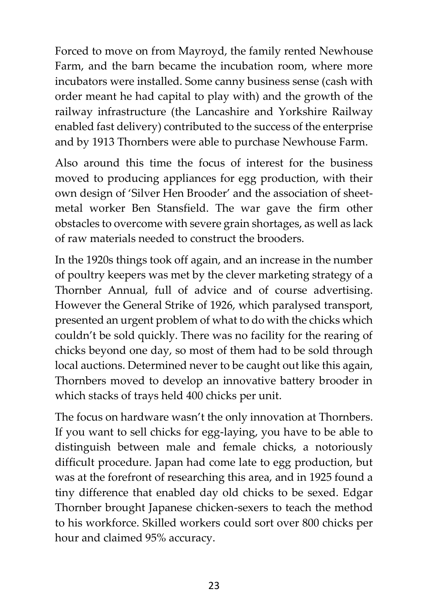Forced to move on from Mayroyd, the family rented Newhouse Farm, and the barn became the incubation room, where more incubators were installed. Some canny business sense (cash with order meant he had capital to play with) and the growth of the railway infrastructure (the Lancashire and Yorkshire Railway enabled fast delivery) contributed to the success of the enterprise and by 1913 Thornbers were able to purchase Newhouse Farm.

Also around this time the focus of interest for the business moved to producing appliances for egg production, with their own design of 'Silver Hen Brooder' and the association of sheetmetal worker Ben Stansfield. The war gave the firm other obstacles to overcome with severe grain shortages, as well as lack of raw materials needed to construct the brooders.

In the 1920s things took off again, and an increase in the number of poultry keepers was met by the clever marketing strategy of a Thornber Annual, full of advice and of course advertising. However the General Strike of 1926, which paralysed transport, presented an urgent problem of what to do with the chicks which couldn't be sold quickly. There was no facility for the rearing of chicks beyond one day, so most of them had to be sold through local auctions. Determined never to be caught out like this again, Thornbers moved to develop an innovative battery brooder in which stacks of trays held 400 chicks per unit.

The focus on hardware wasn't the only innovation at Thornbers. If you want to sell chicks for egg-laying, you have to be able to distinguish between male and female chicks, a notoriously difficult procedure. Japan had come late to egg production, but was at the forefront of researching this area, and in 1925 found a tiny difference that enabled day old chicks to be sexed. Edgar Thornber brought Japanese chicken-sexers to teach the method to his workforce. Skilled workers could sort over 800 chicks per hour and claimed 95% accuracy.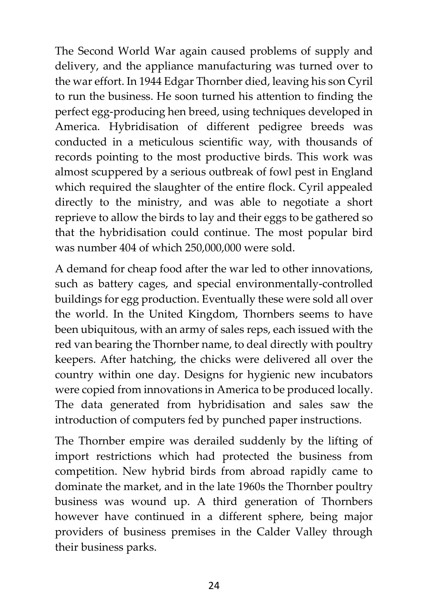The Second World War again caused problems of supply and delivery, and the appliance manufacturing was turned over to the war effort. In 1944 Edgar Thornber died, leaving his son Cyril to run the business. He soon turned his attention to finding the perfect egg-producing hen breed, using techniques developed in America. Hybridisation of different pedigree breeds was conducted in a meticulous scientific way, with thousands of records pointing to the most productive birds. This work was almost scuppered by a serious outbreak of fowl pest in England which required the slaughter of the entire flock. Cyril appealed directly to the ministry, and was able to negotiate a short reprieve to allow the birds to lay and their eggs to be gathered so that the hybridisation could continue. The most popular bird was number 404 of which 250,000,000 were sold.

A demand for cheap food after the war led to other innovations, such as battery cages, and special environmentally-controlled buildings for egg production. Eventually these were sold all over the world. In the United Kingdom, Thornbers seems to have been ubiquitous, with an army of sales reps, each issued with the red van bearing the Thornber name, to deal directly with poultry keepers. After hatching, the chicks were delivered all over the country within one day. Designs for hygienic new incubators were copied from innovations in America to be produced locally. The data generated from hybridisation and sales saw the introduction of computers fed by punched paper instructions.

The Thornber empire was derailed suddenly by the lifting of import restrictions which had protected the business from competition. New hybrid birds from abroad rapidly came to dominate the market, and in the late 1960s the Thornber poultry business was wound up. A third generation of Thornbers however have continued in a different sphere, being major providers of business premises in the Calder Valley through their business parks.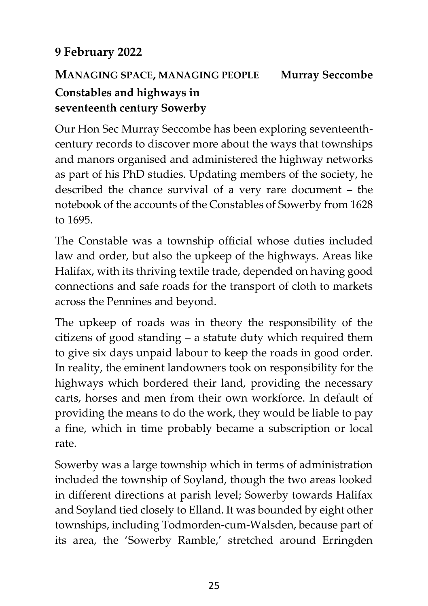### **9 February 2022**

## **MANAGING SPACE, MANAGING PEOPLE Murray Seccombe Constables and highways in seventeenth century Sowerby**

Our Hon Sec Murray Seccombe has been exploring seventeenthcentury records to discover more about the ways that townships and manors organised and administered the highway networks as part of his PhD studies. Updating members of the society, he described the chance survival of a very rare document – the notebook of the accounts of the Constables of Sowerby from 1628 to 1695.

The Constable was a township official whose duties included law and order, but also the upkeep of the highways. Areas like Halifax, with its thriving textile trade, depended on having good connections and safe roads for the transport of cloth to markets across the Pennines and beyond.

The upkeep of roads was in theory the responsibility of the citizens of good standing – a statute duty which required them to give six days unpaid labour to keep the roads in good order. In reality, the eminent landowners took on responsibility for the highways which bordered their land, providing the necessary carts, horses and men from their own workforce. In default of providing the means to do the work, they would be liable to pay a fine, which in time probably became a subscription or local rate.

Sowerby was a large township which in terms of administration included the township of Soyland, though the two areas looked in different directions at parish level; Sowerby towards Halifax and Soyland tied closely to Elland. It was bounded by eight other townships, including Todmorden-cum-Walsden, because part of its area, the 'Sowerby Ramble,' stretched around Erringden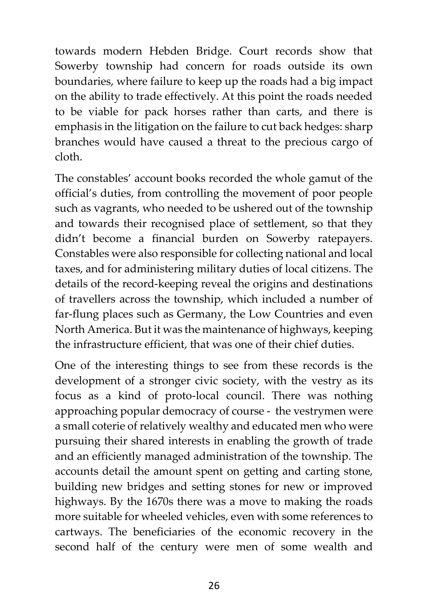towards modern Hebden Bridge. Court records show that Sowerby township had concern for roads outside its own boundaries, where failure to keep up the roads had a big impact on the ability to trade effectively. At this point the roads needed to be viable for pack horses rather than carts, and there is emphasis in the litigation on the failure to cut back hedges: sharp branches would have caused a threat to the precious cargo of cloth.

The constables' account books recorded the whole gamut of the official's duties, from controlling the movement of poor people such as vagrants, who needed to be ushered out of the township and towards their recognised place of settlement, so that they didn't become a financial burden on Sowerby ratepayers. Constables were also responsible for collecting national and local taxes, and for administering military duties of local citizens. The details of the record-keeping reveal the origins and destinations of travellers across the township, which included a number of far-flung places such as Germany, the Low Countries and even North America. But it was the maintenance of highways, keeping the infrastructure efficient, that was one of their chief duties.

One of the interesting things to see from these records is the development of a stronger civic society, with the vestry as its focus as a kind of proto-local council. There was nothing approaching popular democracy of course - the vestrymen were a small coterie of relatively wealthy and educated men who were pursuing their shared interests in enabling the growth of trade and an efficiently managed administration of the township. The accounts detail the amount spent on getting and carting stone, building new bridges and setting stones for new or improved highways. By the 1670s there was a move to making the roads more suitable for wheeled vehicles, even with some references to cartways. The beneficiaries of the economic recovery in the second half of the century were men of some wealth and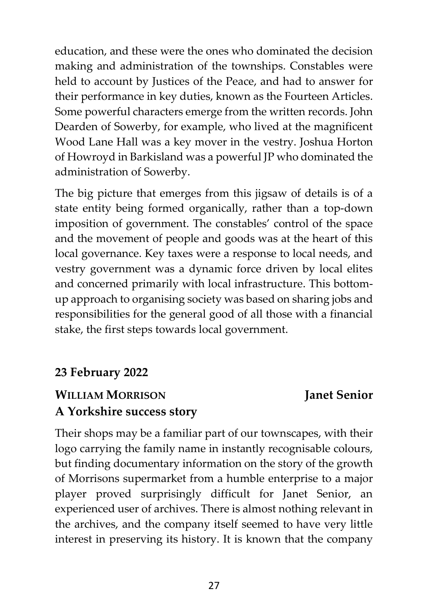education, and these were the ones who dominated the decision making and administration of the townships. Constables were held to account by Justices of the Peace, and had to answer for their performance in key duties, known as the Fourteen Articles. Some powerful characters emerge from the written records. John Dearden of Sowerby, for example, who lived at the magnificent Wood Lane Hall was a key mover in the vestry. Joshua Horton of Howroyd in Barkisland was a powerful JP who dominated the administration of Sowerby.

The big picture that emerges from this jigsaw of details is of a state entity being formed organically, rather than a top-down imposition of government. The constables' control of the space and the movement of people and goods was at the heart of this local governance. Key taxes were a response to local needs, and vestry government was a dynamic force driven by local elites and concerned primarily with local infrastructure. This bottomup approach to organising society was based on sharing jobs and responsibilities for the general good of all those with a financial stake, the first steps towards local government.

#### **23 February 2022**

### **WILLIAM MORRISON Janet Senior A Yorkshire success story**

Their shops may be a familiar part of our townscapes, with their logo carrying the family name in instantly recognisable colours, but finding documentary information on the story of the growth of Morrisons supermarket from a humble enterprise to a major player proved surprisingly difficult for Janet Senior, an experienced user of archives. There is almost nothing relevant in the archives, and the company itself seemed to have very little interest in preserving its history. It is known that the company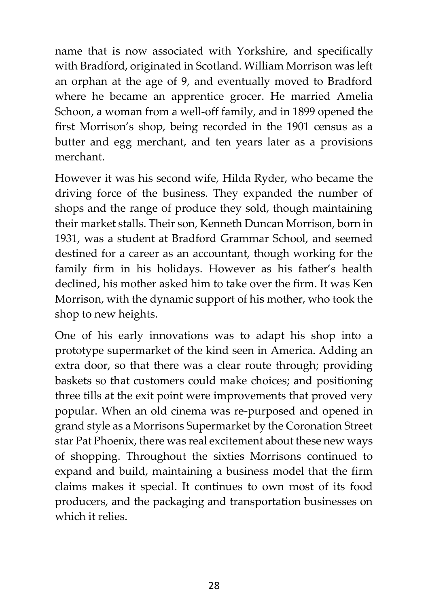name that is now associated with Yorkshire, and specifically with Bradford, originated in Scotland. William Morrison was left an orphan at the age of 9, and eventually moved to Bradford where he became an apprentice grocer. He married Amelia Schoon, a woman from a well-off family, and in 1899 opened the first Morrison's shop, being recorded in the 1901 census as a butter and egg merchant, and ten years later as a provisions merchant.

However it was his second wife, Hilda Ryder, who became the driving force of the business. They expanded the number of shops and the range of produce they sold, though maintaining their market stalls. Their son, Kenneth Duncan Morrison, born in 1931, was a student at Bradford Grammar School, and seemed destined for a career as an accountant, though working for the family firm in his holidays. However as his father's health declined, his mother asked him to take over the firm. It was Ken Morrison, with the dynamic support of his mother, who took the shop to new heights.

One of his early innovations was to adapt his shop into a prototype supermarket of the kind seen in America. Adding an extra door, so that there was a clear route through; providing baskets so that customers could make choices; and positioning three tills at the exit point were improvements that proved very popular. When an old cinema was re-purposed and opened in grand style as a Morrisons Supermarket by the Coronation Street star Pat Phoenix, there was real excitement about these new ways of shopping. Throughout the sixties Morrisons continued to expand and build, maintaining a business model that the firm claims makes it special. It continues to own most of its food producers, and the packaging and transportation businesses on which it relies.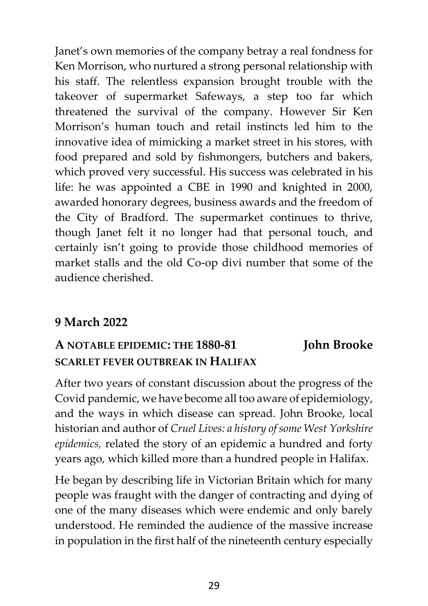Janet's own memories of the company betray a real fondness for Ken Morrison, who nurtured a strong personal relationship with his staff. The relentless expansion brought trouble with the takeover of supermarket Safeways, a step too far which threatened the survival of the company. However Sir Ken Morrison's human touch and retail instincts led him to the innovative idea of mimicking a market street in his stores, with food prepared and sold by fishmongers, butchers and bakers, which proved very successful. His success was celebrated in his life: he was appointed a CBE in 1990 and knighted in 2000, awarded honorary degrees, business awards and the freedom of the City of Bradford. The supermarket continues to thrive, though Janet felt it no longer had that personal touch, and certainly isn't going to provide those childhood memories of market stalls and the old Co-op divi number that some of the audience cherished.

#### **9 March 2022**

## **A NOTABLE EPIDEMIC: THE 1880-81 John Brooke SCARLET FEVER OUTBREAK IN HALIFAX**

After two years of constant discussion about the progress of the Covid pandemic, we have become all too aware of epidemiology, and the ways in which disease can spread. John Brooke, local historian and author of *Cruel Lives: a history of some West Yorkshire epidemics,* related the story of an epidemic a hundred and forty years ago, which killed more than a hundred people in Halifax.

He began by describing life in Victorian Britain which for many people was fraught with the danger of contracting and dying of one of the many diseases which were endemic and only barely understood. He reminded the audience of the massive increase in population in the first half of the nineteenth century especially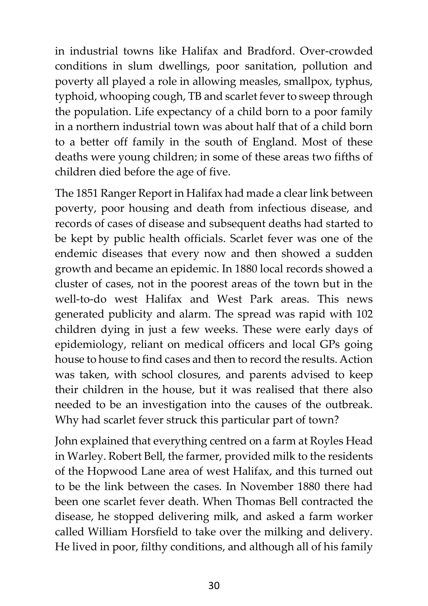in industrial towns like Halifax and Bradford. Over-crowded conditions in slum dwellings, poor sanitation, pollution and poverty all played a role in allowing measles, smallpox, typhus, typhoid, whooping cough, TB and scarlet fever to sweep through the population. Life expectancy of a child born to a poor family in a northern industrial town was about half that of a child born to a better off family in the south of England. Most of these deaths were young children; in some of these areas two fifths of children died before the age of five.

The 1851 Ranger Report in Halifax had made a clear link between poverty, poor housing and death from infectious disease, and records of cases of disease and subsequent deaths had started to be kept by public health officials. Scarlet fever was one of the endemic diseases that every now and then showed a sudden growth and became an epidemic. In 1880 local records showed a cluster of cases, not in the poorest areas of the town but in the well-to-do west Halifax and West Park areas. This news generated publicity and alarm. The spread was rapid with 102 children dying in just a few weeks. These were early days of epidemiology, reliant on medical officers and local GPs going house to house to find cases and then to record the results. Action was taken, with school closures, and parents advised to keep their children in the house, but it was realised that there also needed to be an investigation into the causes of the outbreak. Why had scarlet fever struck this particular part of town?

John explained that everything centred on a farm at Royles Head in Warley. Robert Bell, the farmer, provided milk to the residents of the Hopwood Lane area of west Halifax, and this turned out to be the link between the cases. In November 1880 there had been one scarlet fever death. When Thomas Bell contracted the disease, he stopped delivering milk, and asked a farm worker called William Horsfield to take over the milking and delivery. He lived in poor, filthy conditions, and although all of his family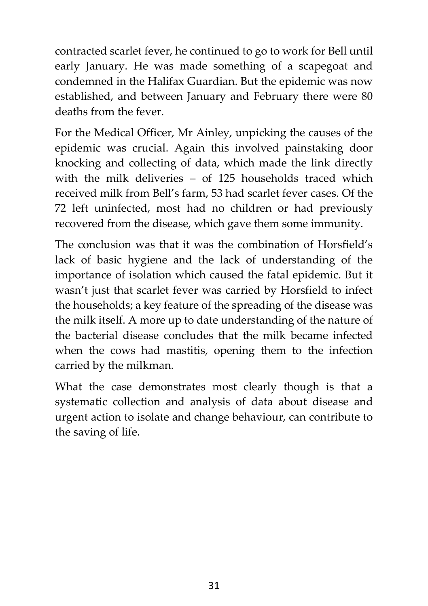contracted scarlet fever, he continued to go to work for Bell until early January. He was made something of a scapegoat and condemned in the Halifax Guardian. But the epidemic was now established, and between January and February there were 80 deaths from the fever.

For the Medical Officer, Mr Ainley, unpicking the causes of the epidemic was crucial. Again this involved painstaking door knocking and collecting of data, which made the link directly with the milk deliveries – of 125 households traced which received milk from Bell's farm, 53 had scarlet fever cases. Of the 72 left uninfected, most had no children or had previously recovered from the disease, which gave them some immunity.

The conclusion was that it was the combination of Horsfield's lack of basic hygiene and the lack of understanding of the importance of isolation which caused the fatal epidemic. But it wasn't just that scarlet fever was carried by Horsfield to infect the households; a key feature of the spreading of the disease was the milk itself. A more up to date understanding of the nature of the bacterial disease concludes that the milk became infected when the cows had mastitis, opening them to the infection carried by the milkman.

What the case demonstrates most clearly though is that a systematic collection and analysis of data about disease and urgent action to isolate and change behaviour, can contribute to the saving of life.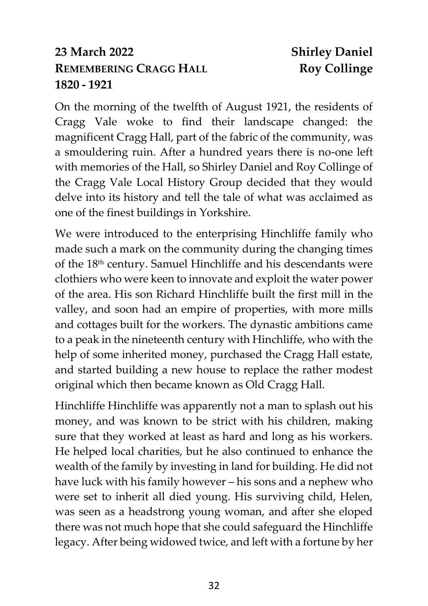### **23 March 2022 Shirley Daniel REMEMBERING CRAGG HALL Roy Collinge 1820 - 1921**

On the morning of the twelfth of August 1921, the residents of Cragg Vale woke to find their landscape changed: the magnificent Cragg Hall, part of the fabric of the community, was a smouldering ruin. After a hundred years there is no-one left with memories of the Hall, so Shirley Daniel and Roy Collinge of the Cragg Vale Local History Group decided that they would delve into its history and tell the tale of what was acclaimed as one of the finest buildings in Yorkshire.

We were introduced to the enterprising Hinchliffe family who made such a mark on the community during the changing times of the 18th century. Samuel Hinchliffe and his descendants were clothiers who were keen to innovate and exploit the water power of the area. His son Richard Hinchliffe built the first mill in the valley, and soon had an empire of properties, with more mills and cottages built for the workers. The dynastic ambitions came to a peak in the nineteenth century with Hinchliffe, who with the help of some inherited money, purchased the Cragg Hall estate, and started building a new house to replace the rather modest original which then became known as Old Cragg Hall.

Hinchliffe Hinchliffe was apparently not a man to splash out his money, and was known to be strict with his children, making sure that they worked at least as hard and long as his workers. He helped local charities, but he also continued to enhance the wealth of the family by investing in land for building. He did not have luck with his family however – his sons and a nephew who were set to inherit all died young. His surviving child, Helen, was seen as a headstrong young woman, and after she eloped there was not much hope that she could safeguard the Hinchliffe legacy. After being widowed twice, and left with a fortune by her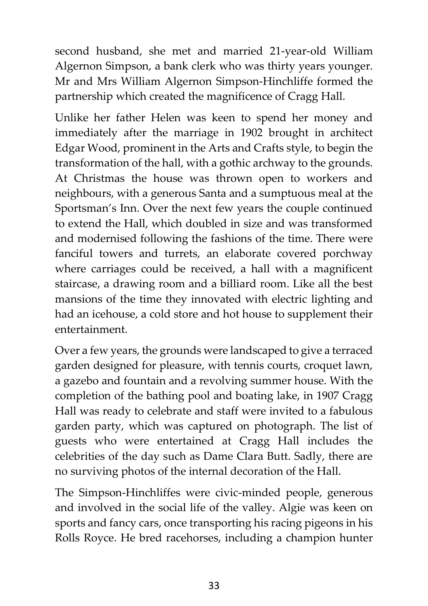second husband, she met and married 21-year-old William Algernon Simpson, a bank clerk who was thirty years younger. Mr and Mrs William Algernon Simpson-Hinchliffe formed the partnership which created the magnificence of Cragg Hall.

Unlike her father Helen was keen to spend her money and immediately after the marriage in 1902 brought in architect Edgar Wood, prominent in the Arts and Crafts style, to begin the transformation of the hall, with a gothic archway to the grounds. At Christmas the house was thrown open to workers and neighbours, with a generous Santa and a sumptuous meal at the Sportsman's Inn. Over the next few years the couple continued to extend the Hall, which doubled in size and was transformed and modernised following the fashions of the time. There were fanciful towers and turrets, an elaborate covered porchway where carriages could be received, a hall with a magnificent staircase, a drawing room and a billiard room. Like all the best mansions of the time they innovated with electric lighting and had an icehouse, a cold store and hot house to supplement their entertainment.

Over a few years, the grounds were landscaped to give a terraced garden designed for pleasure, with tennis courts, croquet lawn, a gazebo and fountain and a revolving summer house. With the completion of the bathing pool and boating lake, in 1907 Cragg Hall was ready to celebrate and staff were invited to a fabulous garden party, which was captured on photograph. The list of guests who were entertained at Cragg Hall includes the celebrities of the day such as Dame Clara Butt. Sadly, there are no surviving photos of the internal decoration of the Hall.

The Simpson-Hinchliffes were civic-minded people, generous and involved in the social life of the valley. Algie was keen on sports and fancy cars, once transporting his racing pigeons in his Rolls Royce. He bred racehorses, including a champion hunter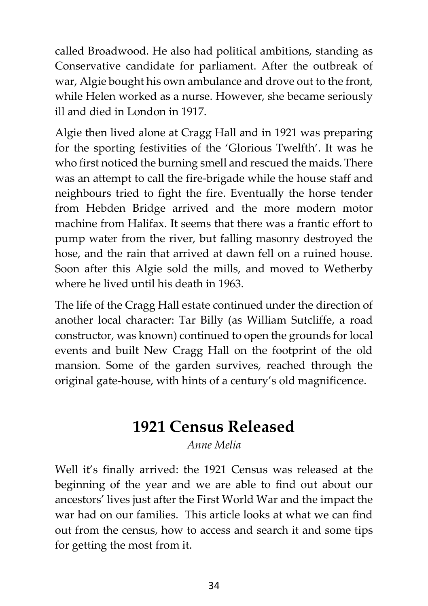called Broadwood. He also had political ambitions, standing as Conservative candidate for parliament. After the outbreak of war, Algie bought his own ambulance and drove out to the front, while Helen worked as a nurse. However, she became seriously ill and died in London in 1917.

Algie then lived alone at Cragg Hall and in 1921 was preparing for the sporting festivities of the 'Glorious Twelfth'. It was he who first noticed the burning smell and rescued the maids. There was an attempt to call the fire-brigade while the house staff and neighbours tried to fight the fire. Eventually the horse tender from Hebden Bridge arrived and the more modern motor machine from Halifax. It seems that there was a frantic effort to pump water from the river, but falling masonry destroyed the hose, and the rain that arrived at dawn fell on a ruined house. Soon after this Algie sold the mills, and moved to Wetherby where he lived until his death in 1963.

The life of the Cragg Hall estate continued under the direction of another local character: Tar Billy (as William Sutcliffe, a road constructor, was known) continued to open the grounds for local events and built New Cragg Hall on the footprint of the old mansion. Some of the garden survives, reached through the original gate-house, with hints of a century's old magnificence.

# **1921 Census Released**

*Anne Melia*

Well it's finally arrived: the 1921 Census was released at the beginning of the year and we are able to find out about our ancestors' lives just after the First World War and the impact the war had on our families. This article looks at what we can find out from the census, how to access and search it and some tips for getting the most from it.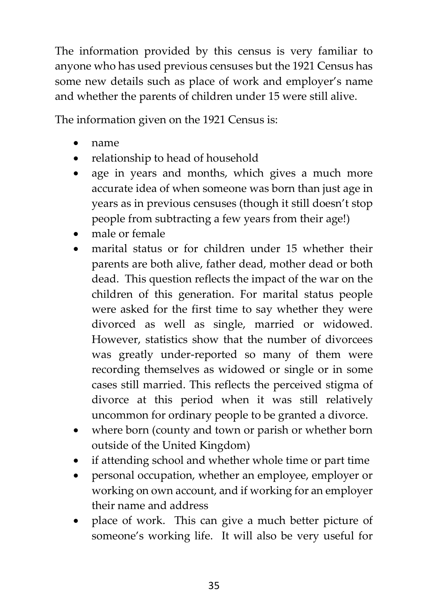The information provided by this census is very familiar to anyone who has used previous censuses but the 1921 Census has some new details such as place of work and employer's name and whether the parents of children under 15 were still alive.

The information given on the 1921 Census is:

- name
- relationship to head of household
- age in years and months, which gives a much more accurate idea of when someone was born than just age in years as in previous censuses (though it still doesn't stop people from subtracting a few years from their age!)
- male or female
- marital status or for children under 15 whether their parents are both alive, father dead, mother dead or both dead. This question reflects the impact of the war on the children of this generation. For marital status people were asked for the first time to say whether they were divorced as well as single, married or widowed. However, statistics show that the number of divorcees was greatly under-reported so many of them were recording themselves as widowed or single or in some cases still married. This reflects the perceived stigma of divorce at this period when it was still relatively uncommon for ordinary people to be granted a divorce.
- where born (county and town or parish or whether born outside of the United Kingdom)
- if attending school and whether whole time or part time
- personal occupation, whether an employee, employer or working on own account, and if working for an employer their name and address
- place of work. This can give a much better picture of someone's working life. It will also be very useful for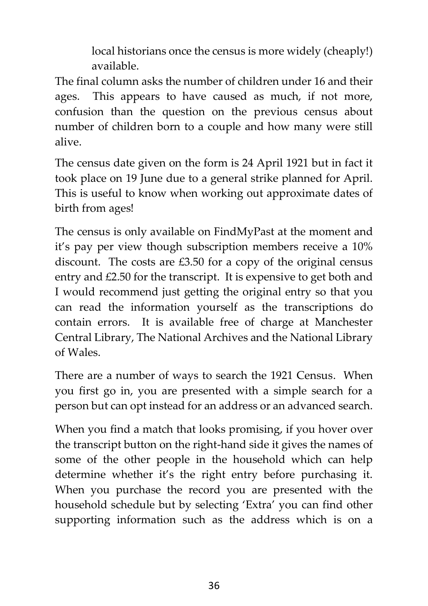local historians once the census is more widely (cheaply!) available.

The final column asks the number of children under 16 and their ages. This appears to have caused as much, if not more, confusion than the question on the previous census about number of children born to a couple and how many were still alive.

The census date given on the form is 24 April 1921 but in fact it took place on 19 June due to a general strike planned for April. This is useful to know when working out approximate dates of birth from ages!

The census is only available on FindMyPast at the moment and it's pay per view though subscription members receive a 10% discount. The costs are £3.50 for a copy of the original census entry and £2.50 for the transcript. It is expensive to get both and I would recommend just getting the original entry so that you can read the information yourself as the transcriptions do contain errors. It is available free of charge at Manchester Central Library, The National Archives and the National Library of Wales.

There are a number of ways to search the 1921 Census. When you first go in, you are presented with a simple search for a person but can opt instead for an address or an advanced search.

When you find a match that looks promising, if you hover over the transcript button on the right-hand side it gives the names of some of the other people in the household which can help determine whether it's the right entry before purchasing it. When you purchase the record you are presented with the household schedule but by selecting 'Extra' you can find other supporting information such as the address which is on a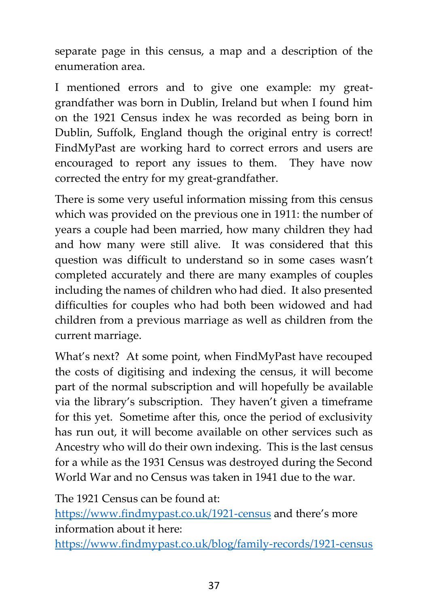separate page in this census, a map and a description of the enumeration area.

I mentioned errors and to give one example: my greatgrandfather was born in Dublin, Ireland but when I found him on the 1921 Census index he was recorded as being born in Dublin, Suffolk, England though the original entry is correct! FindMyPast are working hard to correct errors and users are encouraged to report any issues to them. They have now corrected the entry for my great-grandfather.

There is some very useful information missing from this census which was provided on the previous one in 1911: the number of years a couple had been married, how many children they had and how many were still alive. It was considered that this question was difficult to understand so in some cases wasn't completed accurately and there are many examples of couples including the names of children who had died. It also presented difficulties for couples who had both been widowed and had children from a previous marriage as well as children from the current marriage.

What's next? At some point, when FindMyPast have recouped the costs of digitising and indexing the census, it will become part of the normal subscription and will hopefully be available via the library's subscription. They haven't given a timeframe for this yet. Sometime after this, once the period of exclusivity has run out, it will become available on other services such as Ancestry who will do their own indexing. This is the last census for a while as the 1931 Census was destroyed during the Second World War and no Census was taken in 1941 due to the war.

The 1921 Census can be found at:

<https://www.findmypast.co.uk/1921-census> and there's more information about it here:

<https://www.findmypast.co.uk/blog/family-records/1921-census>